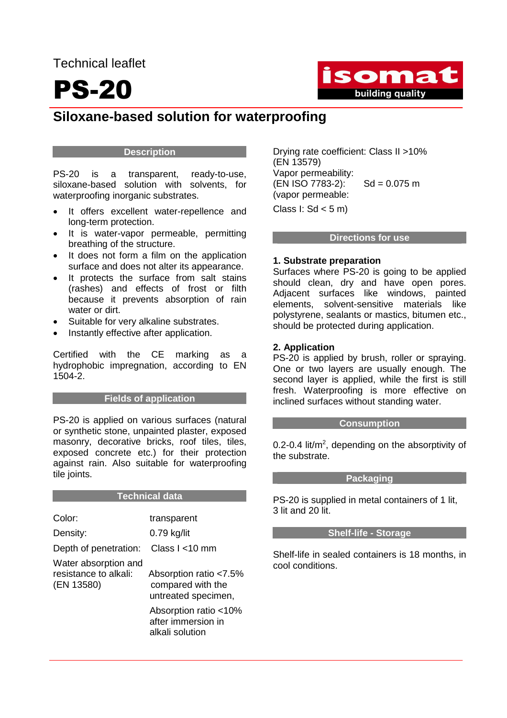Technical leaflet

## PS-20



### **Siloxane-based solution for waterproofing**

#### **Description**

PS-20 is a transparent, ready-to-use, siloxane-based solution with solvents, for waterproofing inorganic substrates.

- It offers excellent water-repellence and long-term protection.
- It is water-vapor permeable, permitting breathing of the structure.
- It does not form a film on the application surface and does not alter its appearance.
- It protects the surface from salt stains (rashes) and effects of frost or filth because it prevents absorption of rain water or dirt.
- Suitable for very alkaline substrates.
- Instantly effective after application.

Certified with the CE marking as a hydrophobic impregnation, according to EN 1504-2.

#### **Fields of application**

PS-20 is applied on various surfaces (natural or synthetic stone, unpainted plaster, exposed masonry, decorative bricks, roof tiles, tiles, exposed concrete etc.) for their protection against rain. Also suitable for waterproofing tile joints.

| Color:                                                      | transparent                                                        |
|-------------------------------------------------------------|--------------------------------------------------------------------|
| Density:                                                    | $0.79$ kg/lit                                                      |
| Depth of penetration:                                       | Class I <10 mm                                                     |
| Water absorption and<br>resistance to alkali:<br>(EN 13580) | Absorption ratio <7.5%<br>compared with the<br>untreated specimen, |
|                                                             | Absorption ratio <10%<br>after immersion in<br>alkali solution     |

**Technical data** 

Drying rate coefficient: Class II >10% (EN 13579) Vapor permeability:  $(EN ISO 7783-2):$  Sd = 0.075 m (vapor permeable:

Class  $l: Sd < 5 m$ )

#### **Directions for use**

#### **1. Substrate preparation**

Surfaces where PS-20 is going to be applied should clean, dry and have open pores. Adjacent surfaces like windows, painted elements, solvent-sensitive materials like polystyrene, sealants or mastics, bitumen etc., should be protected during application.

#### **2. Application**

PS-20 is applied by brush, roller or spraying. One or two layers are usually enough. The second layer is applied, while the first is still fresh. Waterproofing is more effective on inclined surfaces without standing water.

#### **Consumption**

0.2-0.4 lit/ $m^2$ , depending on the absorptivity of the substrate.

#### **Packaging**

PS-20 is supplied in metal containers of 1 lit. 3 lit and 20 lit.

#### **Shelf-life - Storage**

Shelf-life in sealed containers is 18 months, in cool conditions.